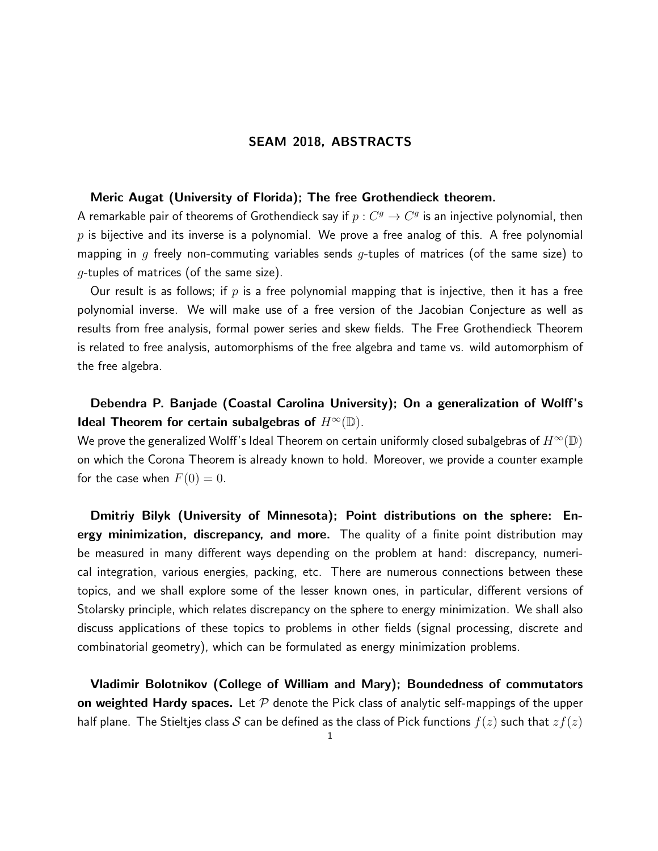## Meric Augat (University of Florida); The free Grothendieck theorem.

A remarkable pair of theorems of Grothendieck say if  $p: C^g \to C^g$  is an injective polynomial, then  $p$  is bijective and its inverse is a polynomial. We prove a free analog of this. A free polynomial mapping in g freely non-commuting variables sends g-tuples of matrices (of the same size) to  $g$ -tuples of matrices (of the same size).

Our result is as follows; if p is a free polynomial mapping that is injective, then it has a free polynomial inverse. We will make use of a free version of the Jacobian Conjecture as well as results from free analysis, formal power series and skew fields. The Free Grothendieck Theorem is related to free analysis, automorphisms of the free algebra and tame vs. wild automorphism of the free algebra.

# Debendra P. Banjade (Coastal Carolina University); On a generalization of Wolff's Ideal Theorem for certain subalgebras of  $H^{\infty}(\mathbb{D})$ .

We prove the generalized Wolff's Ideal Theorem on certain uniformly closed subalgebras of  $H^{\infty}(\mathbb{D})$ on which the Corona Theorem is already known to hold. Moreover, we provide a counter example for the case when  $F(0) = 0$ .

Dmitriy Bilyk (University of Minnesota); Point distributions on the sphere: Energy minimization, discrepancy, and more. The quality of a finite point distribution may be measured in many different ways depending on the problem at hand: discrepancy, numerical integration, various energies, packing, etc. There are numerous connections between these topics, and we shall explore some of the lesser known ones, in particular, different versions of Stolarsky principle, which relates discrepancy on the sphere to energy minimization. We shall also discuss applications of these topics to problems in other fields (signal processing, discrete and combinatorial geometry), which can be formulated as energy minimization problems.

Vladimir Bolotnikov (College of William and Mary); Boundedness of commutators on weighted Hardy spaces. Let  $P$  denote the Pick class of analytic self-mappings of the upper half plane. The Stieltjes class S can be defined as the class of Pick functions  $f(z)$  such that  $zf(z)$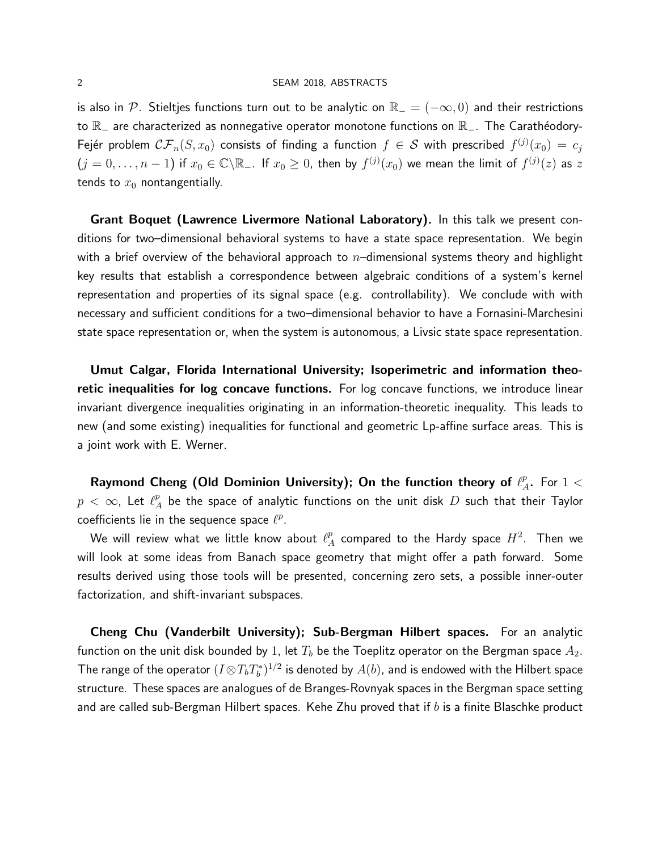is also in P. Stieltjes functions turn out to be analytic on  $\mathbb{R}_- = (-\infty, 0)$  and their restrictions to  $\mathbb{R}_-$  are characterized as nonnegative operator monotone functions on  $\mathbb{R}_-$ . The Carathéodory-Fejér problem  $\mathcal{CF}_n(S, x_0)$  consists of finding a function  $f\, \in\, \mathcal{S}$  with prescribed  $f^{(j)}(x_0)\, =\, c_j$  $(j=0,\ldots,n-1)$  if  $x_0\in\mathbb{C}\backslash\mathbb{R}_+$ . If  $x_0\geq 0$ , then by  $f^{(j)}(x_0)$  we mean the limit of  $f^{(j)}(z)$  as  $z$ tends to  $x_0$  nontangentially.

Grant Boquet (Lawrence Livermore National Laboratory). In this talk we present conditions for two–dimensional behavioral systems to have a state space representation. We begin with a brief overview of the behavioral approach to  $n-$ dimensional systems theory and highlight key results that establish a correspondence between algebraic conditions of a system's kernel representation and properties of its signal space (e.g. controllability). We conclude with with necessary and sufficient conditions for a two–dimensional behavior to have a Fornasini-Marchesini state space representation or, when the system is autonomous, a Livsic state space representation.

Umut Calgar, Florida International University; Isoperimetric and information theoretic inequalities for log concave functions. For log concave functions, we introduce linear invariant divergence inequalities originating in an information-theoretic inequality. This leads to new (and some existing) inequalities for functional and geometric Lp-affine surface areas. This is a joint work with E. Werner.

Raymond Cheng (Old Dominion University); On the function theory of  $\ell_z^p$  $_{A}^{p}$ . For  $1<$  $p \ < \ \infty$ , Let  $\ell_{\scriptscriptstyle\measuredangle}^p$  $\frac{p}{A}$  be the space of analytic functions on the unit disk  $D$  such that their Taylor coefficients lie in the sequence space  $\ell^p$ .

We will review what we little know about  $\ell_{\mathbb A}^p$  $\frac{p}{A}$  compared to the Hardy space  $H^2$ . Then we will look at some ideas from Banach space geometry that might offer a path forward. Some results derived using those tools will be presented, concerning zero sets, a possible inner-outer factorization, and shift-invariant subspaces.

Cheng Chu (Vanderbilt University); Sub-Bergman Hilbert spaces. For an analytic function on the unit disk bounded by 1, let  $T_b$  be the Toeplitz operator on the Bergman space  $A_2$ . The range of the operator  $(I\!\otimes\! T_bT^*_b)^{1/2}$  is denoted by  $A(b)$ , and is endowed with the Hilbert space structure. These spaces are analogues of de Branges-Rovnyak spaces in the Bergman space setting and are called sub-Bergman Hilbert spaces. Kehe Zhu proved that if  $b$  is a finite Blaschke product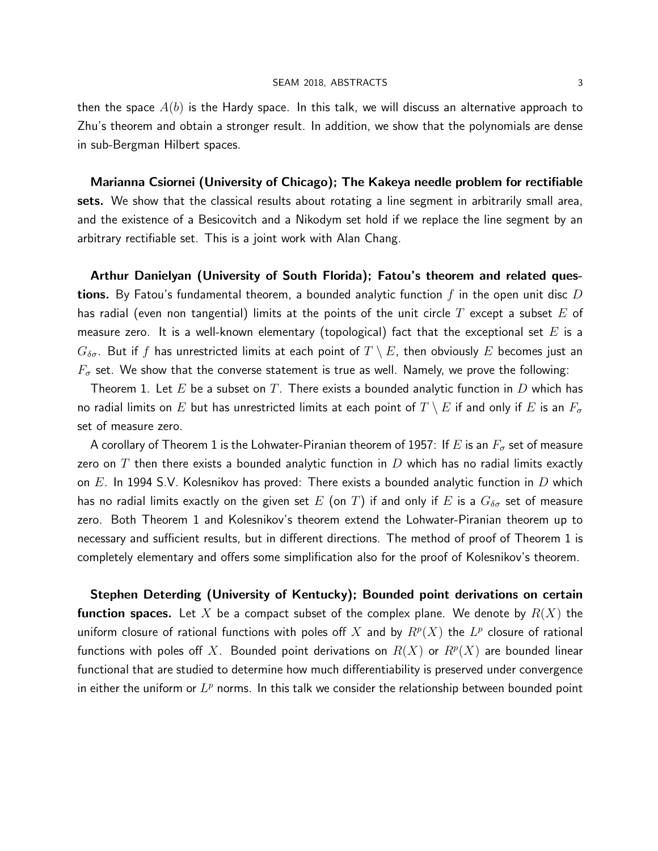then the space  $A(b)$  is the Hardy space. In this talk, we will discuss an alternative approach to Zhu's theorem and obtain a stronger result. In addition, we show that the polynomials are dense in sub-Bergman Hilbert spaces.

Marianna Csiornei (University of Chicago); The Kakeya needle problem for rectifiable sets. We show that the classical results about rotating a line segment in arbitrarily small area, and the existence of a Besicovitch and a Nikodym set hold if we replace the line segment by an arbitrary rectifiable set. This is a joint work with Alan Chang.

Arthur Danielyan (University of South Florida); Fatou's theorem and related ques**tions.** By Fatou's fundamental theorem, a bounded analytic function f in the open unit disc D has radial (even non tangential) limits at the points of the unit circle T except a subset E of measure zero. It is a well-known elementary (topological) fact that the exceptional set E is a  $G_{\delta\sigma}$ . But if f has unrestricted limits at each point of  $T \setminus E$ , then obviously E becomes just an  $F_{\sigma}$  set. We show that the converse statement is true as well. Namely, we prove the following:

Theorem 1. Let E be a subset on T. There exists a bounded analytic function in D which has no radial limits on  $E$  but has unrestricted limits at each point of  $T \setminus E$  if and only if  $E$  is an  $F_\sigma$ set of measure zero.

A corollary of Theorem 1 is the Lohwater-Piranian theorem of 1957: If E is an  $F_{\sigma}$  set of measure zero on T then there exists a bounded analytic function in D which has no radial limits exactly on  $E$ . In 1994 S.V. Kolesnikov has proved: There exists a bounded analytic function in  $D$  which has no radial limits exactly on the given set  $E$  (on  $T$ ) if and only if  $E$  is a  $G_{\delta\sigma}$  set of measure zero. Both Theorem 1 and Kolesnikov's theorem extend the Lohwater-Piranian theorem up to necessary and sufficient results, but in different directions. The method of proof of Theorem 1 is completely elementary and offers some simplification also for the proof of Kolesnikov's theorem.

Stephen Deterding (University of Kentucky); Bounded point derivations on certain **function spaces.** Let X be a compact subset of the complex plane. We denote by  $R(X)$  the uniform closure of rational functions with poles off  $X$  and by  $R^p(X)$  the  $L^p$  closure of rational functions with poles off  $X$ . Bounded point derivations on  $R(X)$  or  $R^p(X)$  are bounded linear functional that are studied to determine how much differentiability is preserved under convergence in either the uniform or  $L^p$  norms. In this talk we consider the relationship between bounded point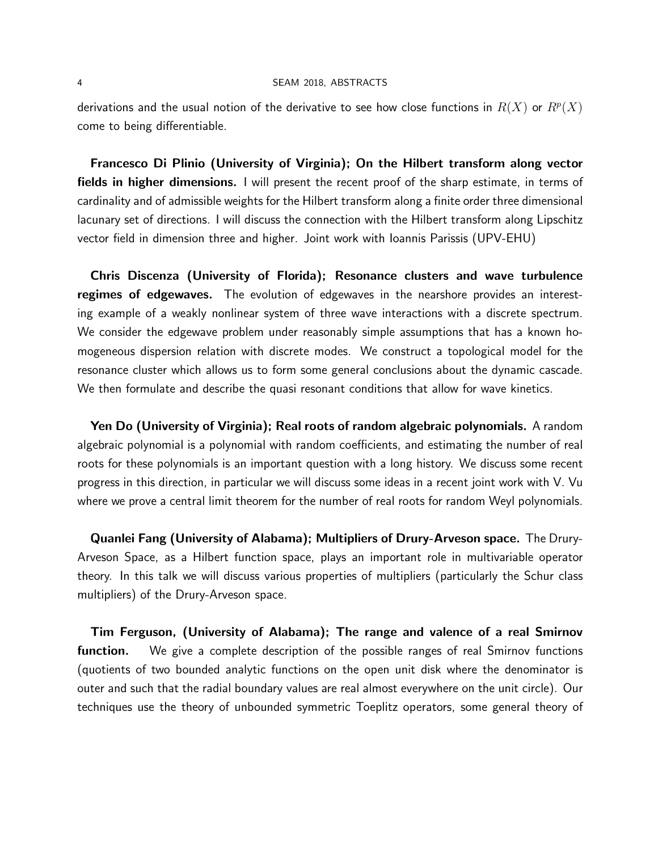derivations and the usual notion of the derivative to see how close functions in  $R(X)$  or  $\bar{R}^p(X)$ come to being differentiable.

Francesco Di Plinio (University of Virginia); On the Hilbert transform along vector fields in higher dimensions. I will present the recent proof of the sharp estimate, in terms of cardinality and of admissible weights for the Hilbert transform along a finite order three dimensional lacunary set of directions. I will discuss the connection with the Hilbert transform along Lipschitz vector field in dimension three and higher. Joint work with Ioannis Parissis (UPV-EHU)

Chris Discenza (University of Florida); Resonance clusters and wave turbulence regimes of edgewaves. The evolution of edgewaves in the nearshore provides an interesting example of a weakly nonlinear system of three wave interactions with a discrete spectrum. We consider the edgewave problem under reasonably simple assumptions that has a known homogeneous dispersion relation with discrete modes. We construct a topological model for the resonance cluster which allows us to form some general conclusions about the dynamic cascade. We then formulate and describe the quasi resonant conditions that allow for wave kinetics.

Yen Do (University of Virginia); Real roots of random algebraic polynomials. A random algebraic polynomial is a polynomial with random coefficients, and estimating the number of real roots for these polynomials is an important question with a long history. We discuss some recent progress in this direction, in particular we will discuss some ideas in a recent joint work with V. Vu where we prove a central limit theorem for the number of real roots for random Weyl polynomials.

Quanlei Fang (University of Alabama); Multipliers of Drury-Arveson space. The Drury-Arveson Space, as a Hilbert function space, plays an important role in multivariable operator theory. In this talk we will discuss various properties of multipliers (particularly the Schur class multipliers) of the Drury-Arveson space.

Tim Ferguson, (University of Alabama); The range and valence of a real Smirnov function. We give a complete description of the possible ranges of real Smirnov functions (quotients of two bounded analytic functions on the open unit disk where the denominator is outer and such that the radial boundary values are real almost everywhere on the unit circle). Our techniques use the theory of unbounded symmetric Toeplitz operators, some general theory of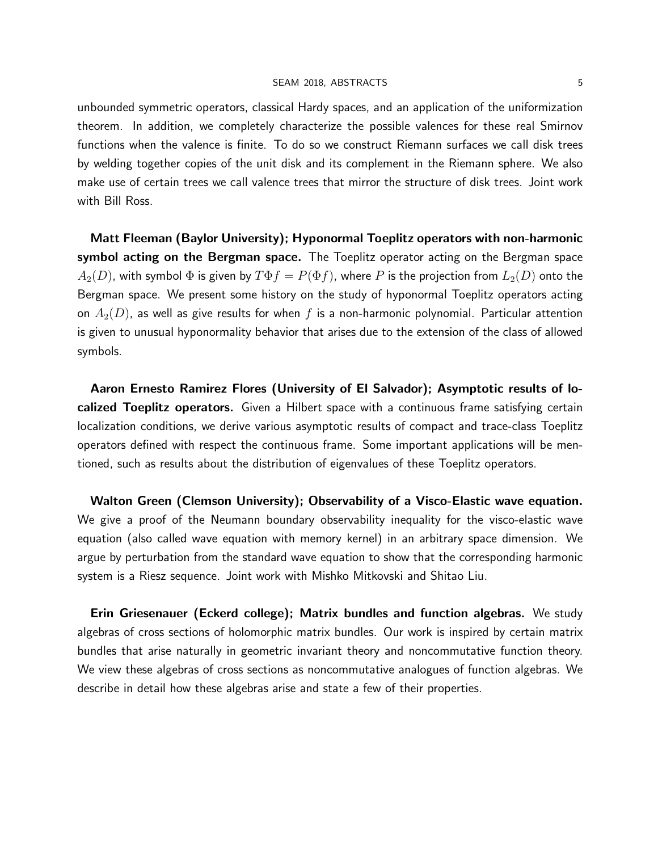unbounded symmetric operators, classical Hardy spaces, and an application of the uniformization theorem. In addition, we completely characterize the possible valences for these real Smirnov functions when the valence is finite. To do so we construct Riemann surfaces we call disk trees by welding together copies of the unit disk and its complement in the Riemann sphere. We also make use of certain trees we call valence trees that mirror the structure of disk trees. Joint work with Bill Ross.

Matt Fleeman (Baylor University); Hyponormal Toeplitz operators with non-harmonic symbol acting on the Bergman space. The Toeplitz operator acting on the Bergman space  $A_2(D)$ , with symbol  $\Phi$  is given by  $T\Phi f = P(\Phi f)$ , where  $P$  is the projection from  $L_2(D)$  onto the Bergman space. We present some history on the study of hyponormal Toeplitz operators acting on  $A_2(D)$ , as well as give results for when f is a non-harmonic polynomial. Particular attention is given to unusual hyponormality behavior that arises due to the extension of the class of allowed symbols.

Aaron Ernesto Ramirez Flores (University of El Salvador); Asymptotic results of localized Toeplitz operators. Given a Hilbert space with a continuous frame satisfying certain localization conditions, we derive various asymptotic results of compact and trace-class Toeplitz operators defined with respect the continuous frame. Some important applications will be mentioned, such as results about the distribution of eigenvalues of these Toeplitz operators.

Walton Green (Clemson University); Observability of a Visco-Elastic wave equation. We give a proof of the Neumann boundary observability inequality for the visco-elastic wave equation (also called wave equation with memory kernel) in an arbitrary space dimension. We argue by perturbation from the standard wave equation to show that the corresponding harmonic system is a Riesz sequence. Joint work with Mishko Mitkovski and Shitao Liu.

Erin Griesenauer (Eckerd college); Matrix bundles and function algebras. We study algebras of cross sections of holomorphic matrix bundles. Our work is inspired by certain matrix bundles that arise naturally in geometric invariant theory and noncommutative function theory. We view these algebras of cross sections as noncommutative analogues of function algebras. We describe in detail how these algebras arise and state a few of their properties.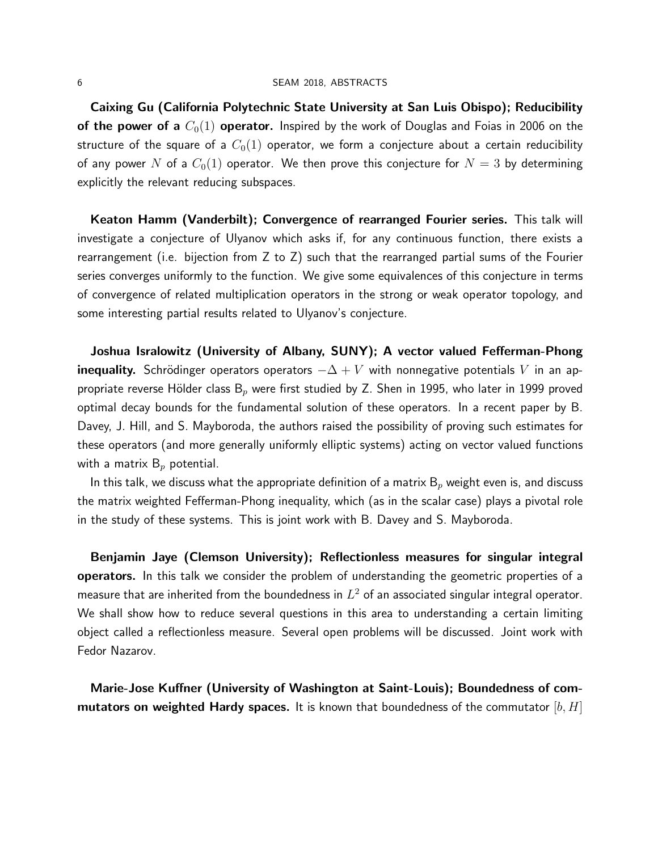Caixing Gu (California Polytechnic State University at San Luis Obispo); Reducibility of the power of a  $C_0(1)$  operator. Inspired by the work of Douglas and Foias in 2006 on the structure of the square of a  $C_0(1)$  operator, we form a conjecture about a certain reducibility of any power N of a  $C_0(1)$  operator. We then prove this conjecture for  $N=3$  by determining explicitly the relevant reducing subspaces.

Keaton Hamm (Vanderbilt); Convergence of rearranged Fourier series. This talk will investigate a conjecture of Ulyanov which asks if, for any continuous function, there exists a rearrangement (i.e. bijection from Z to Z) such that the rearranged partial sums of the Fourier series converges uniformly to the function. We give some equivalences of this conjecture in terms of convergence of related multiplication operators in the strong or weak operator topology, and some interesting partial results related to Ulyanov's conjecture.

Joshua Isralowitz (University of Albany, SUNY); A vector valued Fefferman-Phong inequality. Schrödinger operators operators  $-\Delta + V$  with nonnegative potentials V in an appropriate reverse Hölder class  $B_p$  were first studied by Z. Shen in 1995, who later in 1999 proved optimal decay bounds for the fundamental solution of these operators. In a recent paper by B. Davey, J. Hill, and S. Mayboroda, the authors raised the possibility of proving such estimates for these operators (and more generally uniformly elliptic systems) acting on vector valued functions with a matrix  $B_p$  potential.

In this talk, we discuss what the appropriate definition of a matrix  $B_p$  weight even is, and discuss the matrix weighted Fefferman-Phong inequality, which (as in the scalar case) plays a pivotal role in the study of these systems. This is joint work with B. Davey and S. Mayboroda.

Benjamin Jaye (Clemson University); Reflectionless measures for singular integral operators. In this talk we consider the problem of understanding the geometric properties of a measure that are inherited from the boundedness in  $L^2$  of an associated singular integral operator. We shall show how to reduce several questions in this area to understanding a certain limiting object called a reflectionless measure. Several open problems will be discussed. Joint work with Fedor Nazarov.

Marie-Jose Kuffner (University of Washington at Saint-Louis); Boundedness of com**mutators on weighted Hardy spaces.** It is known that boundedness of the commutator  $[b, H]$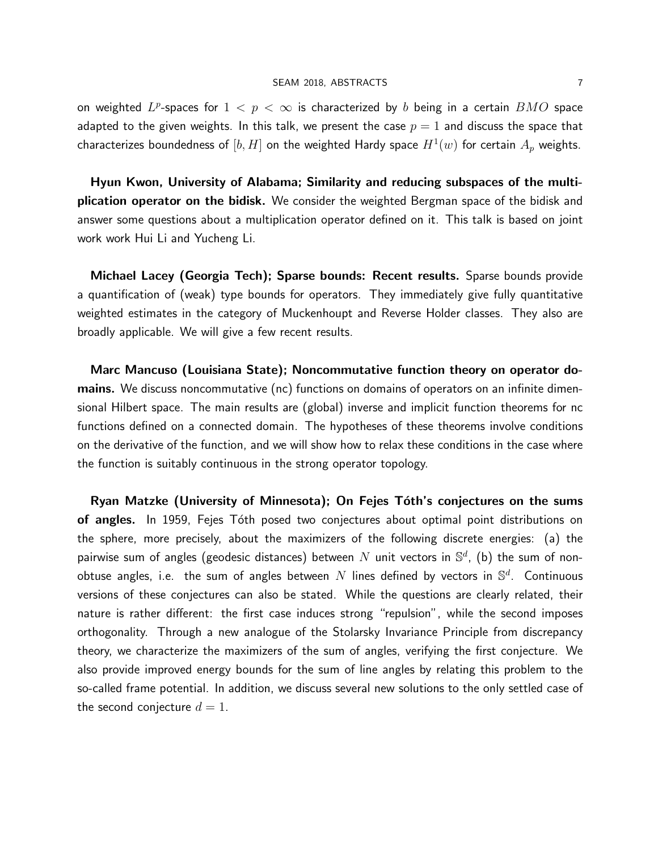on weighted  $L^p$ -spaces for  $1 < p < \infty$  is characterized by  $b$  being in a certain  $BMO$  space adapted to the given weights. In this talk, we present the case  $p=1$  and discuss the space that characterizes boundedness of  $[b,H]$  on the weighted Hardy space  $H^1(w)$  for certain  $A_p$  weights.

Hyun Kwon, University of Alabama; Similarity and reducing subspaces of the multiplication operator on the bidisk. We consider the weighted Bergman space of the bidisk and answer some questions about a multiplication operator defined on it. This talk is based on joint work work Hui Li and Yucheng Li.

Michael Lacey (Georgia Tech); Sparse bounds: Recent results. Sparse bounds provide a quantification of (weak) type bounds for operators. They immediately give fully quantitative weighted estimates in the category of Muckenhoupt and Reverse Holder classes. They also are broadly applicable. We will give a few recent results.

Marc Mancuso (Louisiana State); Noncommutative function theory on operator domains. We discuss noncommutative (nc) functions on domains of operators on an infinite dimensional Hilbert space. The main results are (global) inverse and implicit function theorems for nc functions defined on a connected domain. The hypotheses of these theorems involve conditions on the derivative of the function, and we will show how to relax these conditions in the case where the function is suitably continuous in the strong operator topology.

Ryan Matzke (University of Minnesota); On Fejes Tóth's conjectures on the sums of angles. In 1959, Fejes Tóth posed two conjectures about optimal point distributions on the sphere, more precisely, about the maximizers of the following discrete energies: (a) the pairwise sum of angles (geodesic distances) between  $N$  unit vectors in  $\mathbb{S}^d$ , (b) the sum of nonobtuse angles, i.e. the sum of angles between  $N$  lines defined by vectors in  $\mathbb{S}^d$ . Continuous versions of these conjectures can also be stated. While the questions are clearly related, their nature is rather different: the first case induces strong "repulsion", while the second imposes orthogonality. Through a new analogue of the Stolarsky Invariance Principle from discrepancy theory, we characterize the maximizers of the sum of angles, verifying the first conjecture. We also provide improved energy bounds for the sum of line angles by relating this problem to the so-called frame potential. In addition, we discuss several new solutions to the only settled case of the second conjecture  $d = 1$ .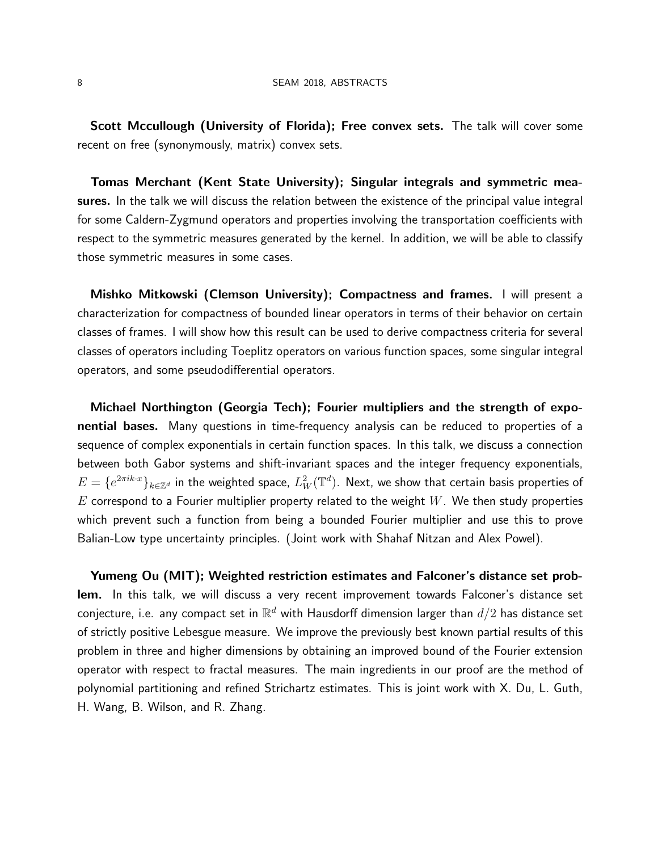Scott Mccullough (University of Florida); Free convex sets. The talk will cover some recent on free (synonymously, matrix) convex sets.

Tomas Merchant (Kent State University); Singular integrals and symmetric measures. In the talk we will discuss the relation between the existence of the principal value integral for some Caldern-Zygmund operators and properties involving the transportation coefficients with respect to the symmetric measures generated by the kernel. In addition, we will be able to classify those symmetric measures in some cases.

Mishko Mitkowski (Clemson University); Compactness and frames. I will present a characterization for compactness of bounded linear operators in terms of their behavior on certain classes of frames. I will show how this result can be used to derive compactness criteria for several classes of operators including Toeplitz operators on various function spaces, some singular integral operators, and some pseudodifferential operators.

Michael Northington (Georgia Tech); Fourier multipliers and the strength of exponential bases. Many questions in time-frequency analysis can be reduced to properties of a sequence of complex exponentials in certain function spaces. In this talk, we discuss a connection between both Gabor systems and shift-invariant spaces and the integer frequency exponentials,  $E=\{e^{2\pi i k\cdot x}\}_{k\in\mathbb{Z}^d}$  in the weighted space,  $L^2_W(\mathbb{T}^d)$ . Next, we show that certain basis properties of  $E$  correspond to a Fourier multiplier property related to the weight  $W$ . We then study properties which prevent such a function from being a bounded Fourier multiplier and use this to prove Balian-Low type uncertainty principles. (Joint work with Shahaf Nitzan and Alex Powel).

Yumeng Ou (MIT); Weighted restriction estimates and Falconer's distance set problem. In this talk, we will discuss a very recent improvement towards Falconer's distance set conjecture, i.e. any compact set in  $\mathbb{R}^d$  with Hausdorff dimension larger than  $d/2$  has distance set of strictly positive Lebesgue measure. We improve the previously best known partial results of this problem in three and higher dimensions by obtaining an improved bound of the Fourier extension operator with respect to fractal measures. The main ingredients in our proof are the method of polynomial partitioning and refined Strichartz estimates. This is joint work with X. Du, L. Guth, H. Wang, B. Wilson, and R. Zhang.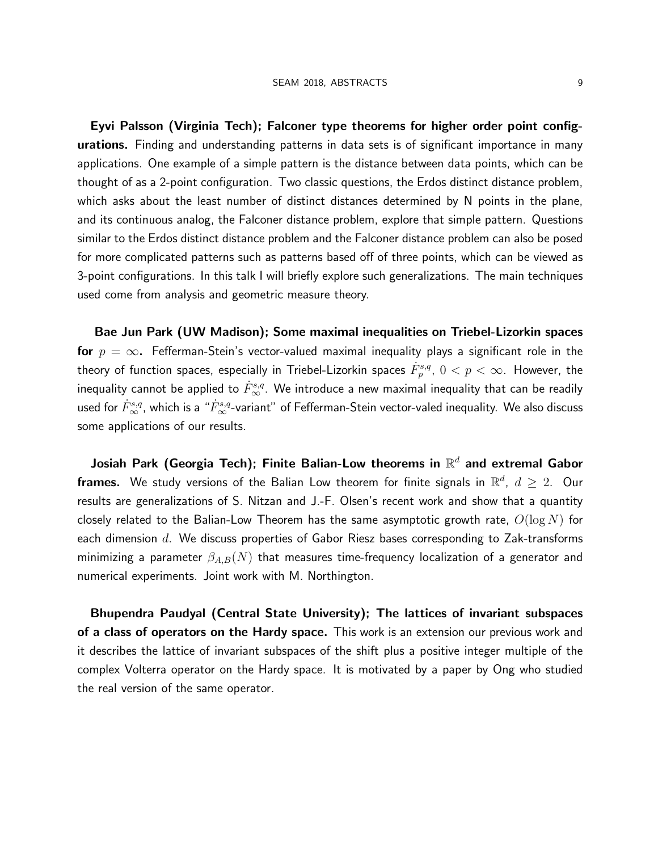Eyvi Palsson (Virginia Tech); Falconer type theorems for higher order point configurations. Finding and understanding patterns in data sets is of significant importance in many applications. One example of a simple pattern is the distance between data points, which can be thought of as a 2-point configuration. Two classic questions, the Erdos distinct distance problem, which asks about the least number of distinct distances determined by N points in the plane, and its continuous analog, the Falconer distance problem, explore that simple pattern. Questions similar to the Erdos distinct distance problem and the Falconer distance problem can also be posed for more complicated patterns such as patterns based off of three points, which can be viewed as 3-point configurations. In this talk I will briefly explore such generalizations. The main techniques used come from analysis and geometric measure theory.

Bae Jun Park (UW Madison); Some maximal inequalities on Triebel-Lizorkin spaces for  $p = \infty$ . Fefferman-Stein's vector-valued maximal inequality plays a significant role in the theory of function spaces, especially in Triebel-Lizorkin spaces  $\dot{F}^{s,q}_p, \ 0< p<\infty.$  However, the inequality cannot be applied to  $\dot{F}^{s,q}_{\infty}.$  We introduce a new maximal inequality that can be readily used for  $\dot{F}^{s,q}_\infty$ , which is a " $\dot{F}^{s,q}_\infty$ -variant" of Fefferman-Stein vector-valed inequality. We also discuss some applications of our results.

Josiah Park (Georgia Tech); Finite Balian-Low theorems in  $\mathbb{R}^d$  and extremal Gabor **frames.** We study versions of the Balian Low theorem for finite signals in  $\mathbb{R}^d$ ,  $d\geq 2$ . Our results are generalizations of S. Nitzan and J.-F. Olsen's recent work and show that a quantity closely related to the Balian-Low Theorem has the same asymptotic growth rate,  $O(\log N)$  for each dimension  $d$ . We discuss properties of Gabor Riesz bases corresponding to Zak-transforms minimizing a parameter  $\beta_{A,B}(N)$  that measures time-frequency localization of a generator and numerical experiments. Joint work with M. Northington.

Bhupendra Paudyal (Central State University); The lattices of invariant subspaces of a class of operators on the Hardy space. This work is an extension our previous work and it describes the lattice of invariant subspaces of the shift plus a positive integer multiple of the complex Volterra operator on the Hardy space. It is motivated by a paper by Ong who studied the real version of the same operator.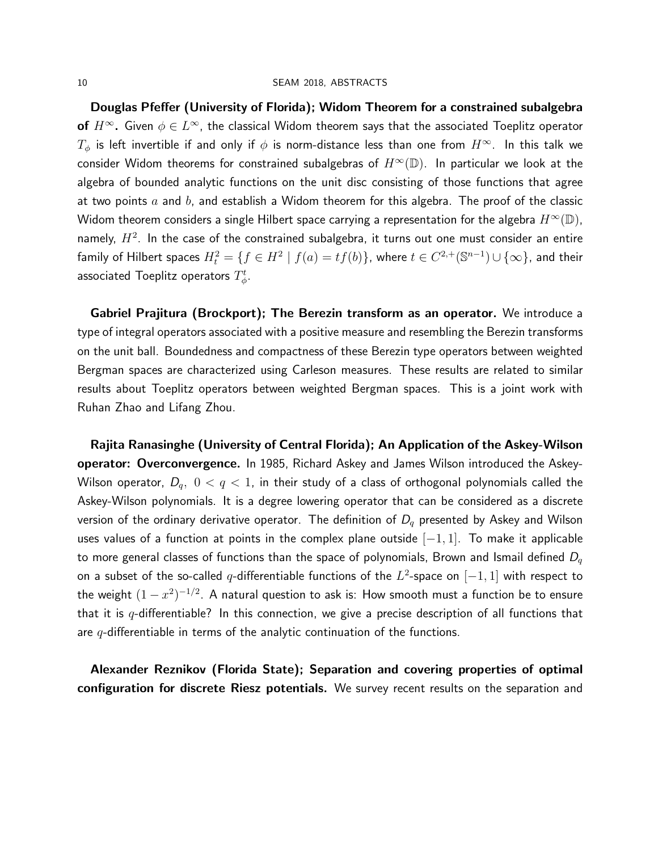Douglas Pfeffer (University of Florida); Widom Theorem for a constrained subalgebra **of**  $H^\infty$ . Given  $\phi \in L^\infty$ , the classical Widom theorem says that the associated Toeplitz operator  $T_{\phi}$  is left invertible if and only if  $\phi$  is norm-distance less than one from  $H^{\infty}$ . In this talk we consider Widom theorems for constrained subalgebras of  $H^{\infty}(\mathbb{D})$ . In particular we look at the algebra of bounded analytic functions on the unit disc consisting of those functions that agree at two points  $a$  and  $b$ , and establish a Widom theorem for this algebra. The proof of the classic Widom theorem considers a single Hilbert space carrying a representation for the algebra  $H^{\infty}(\mathbb{D})$ , namely,  $H^2$ . In the case of the constrained subalgebra, it turns out one must consider an entire family of Hilbert spaces  $H_t^2=\{f\in H^2\mid f(a)=tf(b)\}$ , where  $t\in C^{2,+}(\mathbb S^{n-1})\cup\{\infty\}$ , and their associated Toeplitz operators  $T^t_{\phi}$ .

Gabriel Prajitura (Brockport); The Berezin transform as an operator. We introduce a type of integral operators associated with a positive measure and resembling the Berezin transforms on the unit ball. Boundedness and compactness of these Berezin type operators between weighted Bergman spaces are characterized using Carleson measures. These results are related to similar results about Toeplitz operators between weighted Bergman spaces. This is a joint work with Ruhan Zhao and Lifang Zhou.

Rajita Ranasinghe (University of Central Florida); An Application of the Askey-Wilson operator: Overconvergence. In 1985, Richard Askey and James Wilson introduced the Askey-Wilson operator,  $D_q$ ,  $0 < q < 1$ , in their study of a class of orthogonal polynomials called the Askey-Wilson polynomials. It is a degree lowering operator that can be considered as a discrete version of the ordinary derivative operator. The definition of  $D_q$  presented by Askey and Wilson uses values of a function at points in the complex plane outside  $[-1, 1]$ . To make it applicable to more general classes of functions than the space of polynomials, Brown and Ismail defined  $D_{a}$ on a subset of the so-called  $q$ -differentiable functions of the  $L^2$ -space on  $[-1,1]$  with respect to the weight  $(1-x^2)^{-1/2}.$  A natural question to ask is: How smooth must a function be to ensure that it is  $q$ -differentiable? In this connection, we give a precise description of all functions that are  $q$ -differentiable in terms of the analytic continuation of the functions.

Alexander Reznikov (Florida State); Separation and covering properties of optimal configuration for discrete Riesz potentials. We survey recent results on the separation and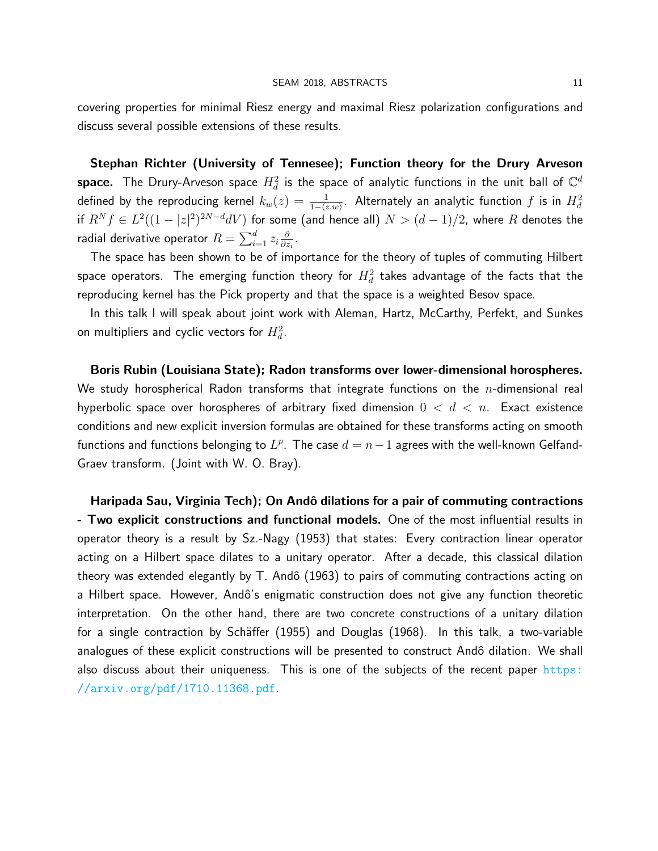covering properties for minimal Riesz energy and maximal Riesz polarization configurations and discuss several possible extensions of these results.

Stephan Richter (University of Tennesee); Function theory for the Drury Arveson  ${\sf space.}$  The Drury-Arveson space  $H^2_d$  is the space of analytic functions in the unit ball of  ${\mathbb C}^d$ defined by the reproducing kernel  $k_w(z)=\frac{1}{1-\langle z,w\rangle}.$  Alternately an analytic function  $f$  is in  $H_d^2$ if  $R^N f \in L^2((1-|z|^2)^{2N-d}dV)$  for some (and hence all)  $N > (d-1)/2,$  where  $R$  denotes the radial derivative operator  $R=\sum_{i=1}^d z_i\frac{\partial}{\partial z_i}$  $\frac{\partial}{\partial z_i}$ .

The space has been shown to be of importance for the theory of tuples of commuting Hilbert space operators. The emerging function theory for  $H^2_d$  takes advantage of the facts that the reproducing kernel has the Pick property and that the space is a weighted Besov space.

In this talk I will speak about joint work with Aleman, Hartz, McCarthy, Perfekt, and Sunkes on multipliers and cyclic vectors for  $H_d^2.$ 

Boris Rubin (Louisiana State); Radon transforms over lower-dimensional horospheres. We study horospherical Radon transforms that integrate functions on the  $n$ -dimensional real hyperbolic space over horospheres of arbitrary fixed dimension  $0 < d < n$ . Exact existence conditions and new explicit inversion formulas are obtained for these transforms acting on smooth functions and functions belonging to  $L^p$ . The case  $d = n - 1$  agrees with the well-known Gelfand-Graev transform. (Joint with W. O. Bray).

Haripada Sau, Virginia Tech); On Andô dilations for a pair of commuting contractions - Two explicit constructions and functional models. One of the most influential results in operator theory is a result by Sz.-Nagy (1953) that states: Every contraction linear operator acting on a Hilbert space dilates to a unitary operator. After a decade, this classical dilation theory was extended elegantly by  $T$ . Andô (1963) to pairs of commuting contractions acting on a Hilbert space. However, Andô's enigmatic construction does not give any function theoretic interpretation. On the other hand, there are two concrete constructions of a unitary dilation for a single contraction by Schäffer (1955) and Douglas (1968). In this talk, a two-variable analogues of these explicit constructions will be presented to construct Andô dilation. We shall also discuss about their uniqueness. This is one of the subjects of the recent paper [https:](https://arxiv.org/pdf/1710.11368.pdf) [//arxiv.org/pdf/1710.11368.pdf](https://arxiv.org/pdf/1710.11368.pdf).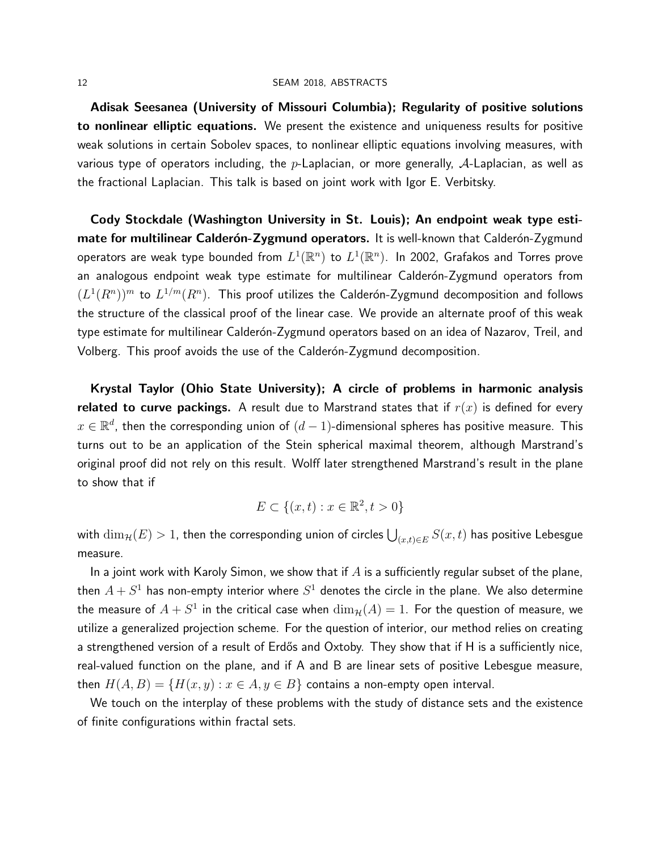Adisak Seesanea (University of Missouri Columbia); Regularity of positive solutions to nonlinear elliptic equations. We present the existence and uniqueness results for positive weak solutions in certain Sobolev spaces, to nonlinear elliptic equations involving measures, with various type of operators including, the p-Laplacian, or more generally,  $A$ -Laplacian, as well as the fractional Laplacian. This talk is based on joint work with Igor E. Verbitsky.

Cody Stockdale (Washington University in St. Louis); An endpoint weak type estimate for multilinear Calderón-Zygmund operators. It is well-known that Calderón-Zygmund operators are weak type bounded from  $L^1({\mathbb R}^n)$  to  $L^1({\mathbb R}^n)$ . In 2002, Grafakos and Torres prove an analogous endpoint weak type estimate for multilinear Calderón-Zygmund operators from  $(L^1(R^n))^m$  to  $L^{1/m}(R^n)$ . This proof utilizes the Calderón-Zygmund decomposition and follows the structure of the classical proof of the linear case. We provide an alternate proof of this weak type estimate for multilinear Calderón-Zygmund operators based on an idea of Nazarov, Treil, and Volberg. This proof avoids the use of the Calderón-Zygmund decomposition.

Krystal Taylor (Ohio State University); A circle of problems in harmonic analysis related to curve packings. A result due to Marstrand states that if  $r(x)$  is defined for every  $x \in \mathbb{R}^d$ , then the corresponding union of  $(d-1)$ -dimensional spheres has positive measure. This turns out to be an application of the Stein spherical maximal theorem, although Marstrand's original proof did not rely on this result. Wolff later strengthened Marstrand's result in the plane to show that if

$$
E \subset \{(x, t) : x \in \mathbb{R}^2, t > 0\}
$$

with  $\dim_{\mathcal{H}}(E)>1$ , then the corresponding union of circles  $\bigcup_{(x,t)\in E}S(x,t)$  has positive Lebesgue measure.

In a joint work with Karoly Simon, we show that if  $A$  is a sufficiently regular subset of the plane, then  $A+S^1$  has non-empty interior where  $S^1$  denotes the circle in the plane. We also determine the measure of  $A+S^1$  in the critical case when  $\dim_{\mathcal{H}}(A)=1.$  For the question of measure, we utilize a generalized projection scheme. For the question of interior, our method relies on creating a strengthened version of a result of Erdős and Oxtoby. They show that if H is a sufficiently nice, real-valued function on the plane, and if A and B are linear sets of positive Lebesgue measure, then  $H(A, B) = \{H(x, y) : x \in A, y \in B\}$  contains a non-empty open interval.

We touch on the interplay of these problems with the study of distance sets and the existence of finite configurations within fractal sets.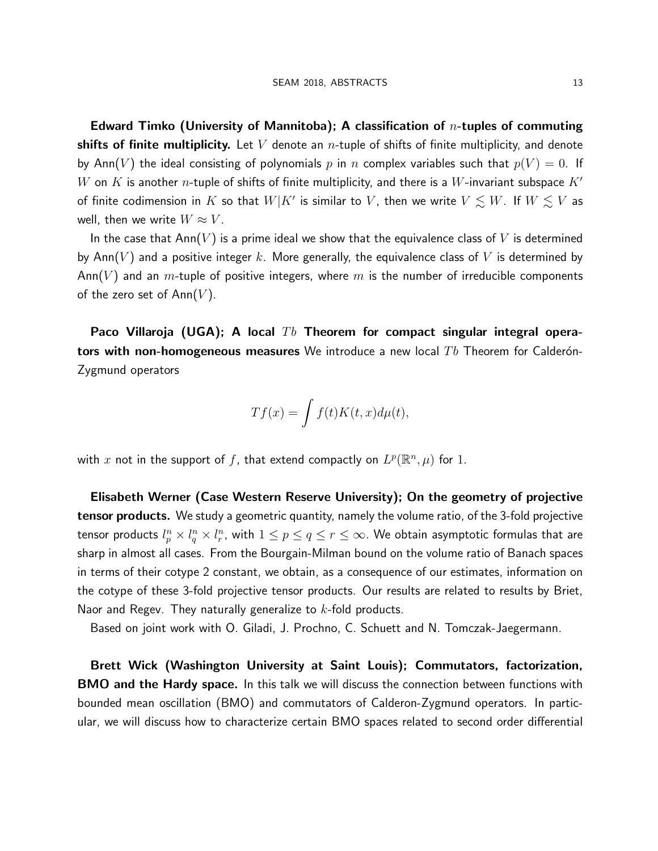Edward Timko (University of Mannitoba); A classification of  $n$ -tuples of commuting shifts of finite multiplicity. Let V denote an *n*-tuple of shifts of finite multiplicity, and denote by Ann(V) the ideal consisting of polynomials p in n complex variables such that  $p(V) = 0$ . If W on K is another n-tuple of shifts of finite multiplicity, and there is a W-invariant subspace  $K'$ of finite codimension in  $K$  so that  $W|K'$  is similar to  $V$ , then we write  $V\lesssim W.$  If  $W\lesssim V$  as well, then we write  $W \approx V$ .

In the case that  $Ann(V)$  is a prime ideal we show that the equivalence class of V is determined by Ann(V) and a positive integer k. More generally, the equivalence class of V is determined by Ann(V) and an m-tuple of positive integers, where m is the number of irreducible components of the zero set of  $Ann(V)$ .

Paco Villaroja (UGA); A local  $Tb$  Theorem for compact singular integral operators with non-homogeneous measures We introduce a new local  $Tb$  Theorem for Calderón-Zygmund operators

$$
Tf(x) = \int f(t)K(t, x)d\mu(t),
$$

with  $x$  not in the support of  $f$ , that extend compactly on  $L^p(\mathbb{R}^n,\mu)$  for  $1.$ 

Elisabeth Werner (Case Western Reserve University); On the geometry of projective **tensor products.** We study a geometric quantity, namely the volume ratio, of the 3-fold projective tensor products  $l_p^n\times l_q^n\times l_r^n$ , with  $1\leq p\leq q\leq r\leq\infty.$  We obtain asymptotic formulas that are sharp in almost all cases. From the Bourgain-Milman bound on the volume ratio of Banach spaces in terms of their cotype 2 constant, we obtain, as a consequence of our estimates, information on the cotype of these 3-fold projective tensor products. Our results are related to results by Briet, Naor and Regev. They naturally generalize to  $k$ -fold products.

Based on joint work with O. Giladi, J. Prochno, C. Schuett and N. Tomczak-Jaegermann.

Brett Wick (Washington University at Saint Louis); Commutators, factorization, **BMO and the Hardy space.** In this talk we will discuss the connection between functions with bounded mean oscillation (BMO) and commutators of Calderon-Zygmund operators. In particular, we will discuss how to characterize certain BMO spaces related to second order differential